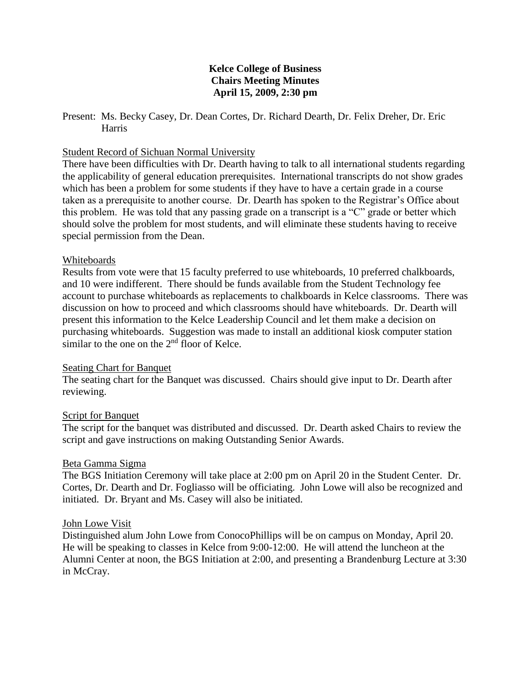## **Kelce College of Business Chairs Meeting Minutes April 15, 2009, 2:30 pm**

#### Present: Ms. Becky Casey, Dr. Dean Cortes, Dr. Richard Dearth, Dr. Felix Dreher, Dr. Eric Harris

### Student Record of Sichuan Normal University

There have been difficulties with Dr. Dearth having to talk to all international students regarding the applicability of general education prerequisites. International transcripts do not show grades which has been a problem for some students if they have to have a certain grade in a course taken as a prerequisite to another course. Dr. Dearth has spoken to the Registrar's Office about this problem. He was told that any passing grade on a transcript is a "C" grade or better which should solve the problem for most students, and will eliminate these students having to receive special permission from the Dean.

#### Whiteboards

Results from vote were that 15 faculty preferred to use whiteboards, 10 preferred chalkboards, and 10 were indifferent. There should be funds available from the Student Technology fee account to purchase whiteboards as replacements to chalkboards in Kelce classrooms. There was discussion on how to proceed and which classrooms should have whiteboards. Dr. Dearth will present this information to the Kelce Leadership Council and let them make a decision on purchasing whiteboards. Suggestion was made to install an additional kiosk computer station similar to the one on the  $2<sup>nd</sup>$  floor of Kelce.

#### Seating Chart for Banquet

The seating chart for the Banquet was discussed. Chairs should give input to Dr. Dearth after reviewing.

# Script for Banquet

The script for the banquet was distributed and discussed. Dr. Dearth asked Chairs to review the script and gave instructions on making Outstanding Senior Awards.

#### Beta Gamma Sigma

The BGS Initiation Ceremony will take place at 2:00 pm on April 20 in the Student Center. Dr. Cortes, Dr. Dearth and Dr. Fogliasso will be officiating. John Lowe will also be recognized and initiated. Dr. Bryant and Ms. Casey will also be initiated.

#### John Lowe Visit

Distinguished alum John Lowe from ConocoPhillips will be on campus on Monday, April 20. He will be speaking to classes in Kelce from 9:00-12:00. He will attend the luncheon at the Alumni Center at noon, the BGS Initiation at 2:00, and presenting a Brandenburg Lecture at 3:30 in McCray.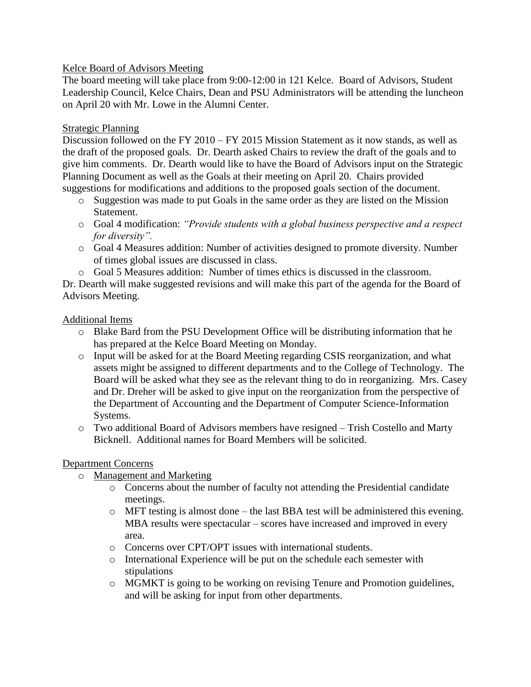# Kelce Board of Advisors Meeting

The board meeting will take place from 9:00-12:00 in 121 Kelce. Board of Advisors, Student Leadership Council, Kelce Chairs, Dean and PSU Administrators will be attending the luncheon on April 20 with Mr. Lowe in the Alumni Center.

## Strategic Planning

Discussion followed on the FY 2010 – FY 2015 Mission Statement as it now stands, as well as the draft of the proposed goals. Dr. Dearth asked Chairs to review the draft of the goals and to give him comments. Dr. Dearth would like to have the Board of Advisors input on the Strategic Planning Document as well as the Goals at their meeting on April 20. Chairs provided suggestions for modifications and additions to the proposed goals section of the document.

- o Suggestion was made to put Goals in the same order as they are listed on the Mission Statement.
- o Goal 4 modification: *"Provide students with a global business perspective and a respect for diversity".*
- o Goal 4 Measures addition: Number of activities designed to promote diversity. Number of times global issues are discussed in class.
- o Goal 5 Measures addition: Number of times ethics is discussed in the classroom.

Dr. Dearth will make suggested revisions and will make this part of the agenda for the Board of Advisors Meeting.

## Additional Items

- o Blake Bard from the PSU Development Office will be distributing information that he has prepared at the Kelce Board Meeting on Monday.
- o Input will be asked for at the Board Meeting regarding CSIS reorganization, and what assets might be assigned to different departments and to the College of Technology. The Board will be asked what they see as the relevant thing to do in reorganizing. Mrs. Casey and Dr. Dreher will be asked to give input on the reorganization from the perspective of the Department of Accounting and the Department of Computer Science-Information Systems.
- o Two additional Board of Advisors members have resigned Trish Costello and Marty Bicknell. Additional names for Board Members will be solicited.

#### Department Concerns

- o Management and Marketing
	- o Concerns about the number of faculty not attending the Presidential candidate meetings.
	- o MFT testing is almost done the last BBA test will be administered this evening. MBA results were spectacular – scores have increased and improved in every area.
	- o Concerns over CPT/OPT issues with international students.
	- o International Experience will be put on the schedule each semester with stipulations
	- o MGMKT is going to be working on revising Tenure and Promotion guidelines, and will be asking for input from other departments.